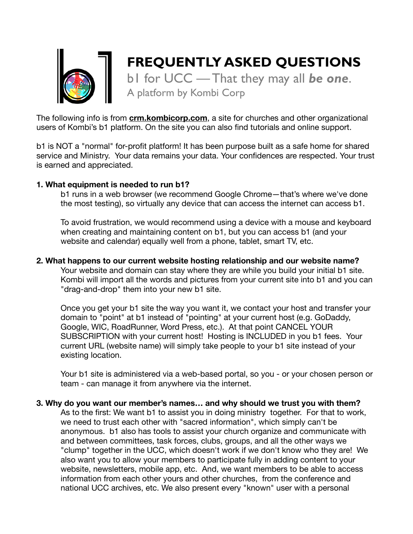

# **FREQUENTLY ASKED QUESTIONS**

b1 for UCC — That they may all *be one*. A platform by Kombi Corp

The following info is from **[crm.kombicorp.com](http://crm.kombicorp.com)**, a site for churches and other organizational users of Kombi's b1 platform. On the site you can also find tutorials and online support.

b1 is NOT a "normal" for-profit platform! It has been purpose built as a safe home for shared service and Ministry. Your data remains your data. Your confidences are respected. Your trust is earned and appreciated.

### **1. What equipment is needed to run b1?**

b1 runs in a web browser (we recommend Google Chrome—that's where we've done the most testing), so virtually any device that can access the internet can access b1.

To avoid frustration, we would recommend using a device with a mouse and keyboard when creating and maintaining content on b1, but you can access b1 (and your website and calendar) equally well from a phone, tablet, smart TV, etc.

### **2. What happens to our current website hosting relationship and our website name?**

Your website and domain can stay where they are while you build your initial b1 site. Kombi will import all the words and pictures from your current site into b1 and you can "drag-and-drop" them into your new b1 site.

Once you get your b1 site the way you want it, we contact your host and transfer your domain to "point" at b1 instead of "pointing" at your current host (e.g. GoDaddy, Google, WIC, RoadRunner, Word Press, etc.). At that point CANCEL YOUR SUBSCRIPTION with your current host! Hosting is INCLUDED in you b1 fees. Your current URL (website name) will simply take people to your b1 site instead of your existing location.

Your b1 site is administered via a web-based portal, so you - or your chosen person or team - can manage it from anywhere via the internet.

**3. Why do you want our member's names… and why should we trust you with them?** As to the first: We want b1 to assist you in doing ministry together. For that to work, we need to trust each other with "sacred information", which simply can't be anonymous. b1 also has tools to assist your church organize and communicate with and between committees, task forces, clubs, groups, and all the other ways we "clump" together in the UCC, which doesn't work if we don't know who they are! We also want you to allow your members to participate fully in adding content to your website, newsletters, mobile app, etc. And, we want members to be able to access information from each other yours and other churches, from the conference and national UCC archives, etc. We also present every "known" user with a personal